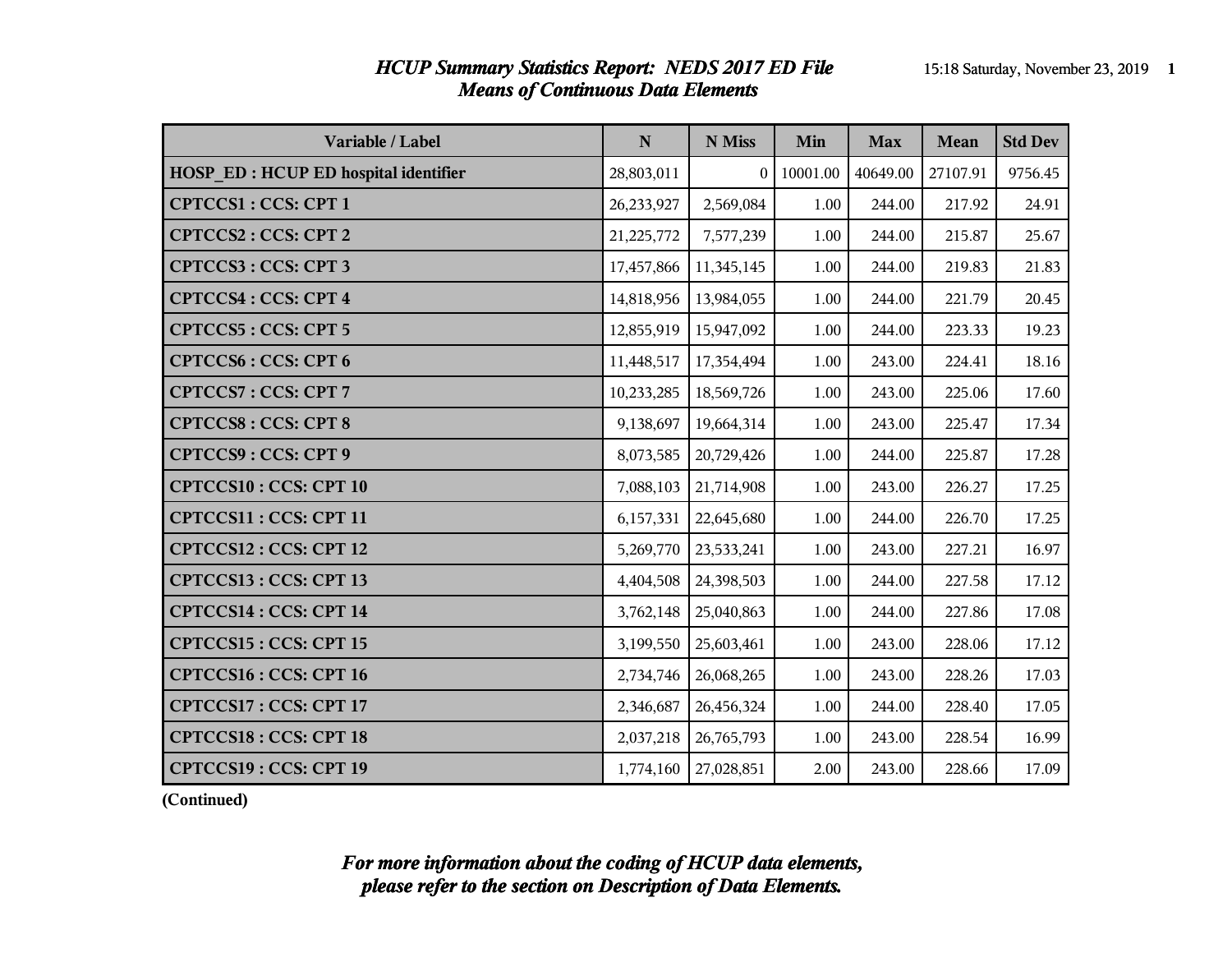### *HCUP Summary Statistics Report: NEDS 2017 ED File* 15:18 Saturday, November 23, 2019 **1** *Means of Continuous Data Elements*

| Variable / Label                            | $\mathbf N$ | N Miss     | Min      | <b>Max</b> | Mean     | <b>Std Dev</b> |
|---------------------------------------------|-------------|------------|----------|------------|----------|----------------|
| <b>HOSP ED: HCUP ED hospital identifier</b> | 28,803,011  | $\Omega$   | 10001.00 | 40649.00   | 27107.91 | 9756.45        |
| <b>CPTCCS1: CCS: CPT 1</b>                  | 26,233,927  | 2,569,084  | 1.00     | 244.00     | 217.92   | 24.91          |
| <b>CPTCCS2: CCS: CPT 2</b>                  | 21,225,772  | 7,577,239  | 1.00     | 244.00     | 215.87   | 25.67          |
| <b>CPTCCS3: CCS: CPT3</b>                   | 17,457,866  | 11,345,145 | 1.00     | 244.00     | 219.83   | 21.83          |
| <b>CPTCCS4: CCS: CPT 4</b>                  | 14,818,956  | 13,984,055 | 1.00     | 244.00     | 221.79   | 20.45          |
| <b>CPTCCS5: CCS: CPT 5</b>                  | 12,855,919  | 15,947,092 | 1.00     | 244.00     | 223.33   | 19.23          |
| <b>CPTCCS6: CCS: CPT6</b>                   | 11,448,517  | 17,354,494 | 1.00     | 243.00     | 224.41   | 18.16          |
| <b>CPTCCS7: CCS: CPT 7</b>                  | 10,233,285  | 18,569,726 | 1.00     | 243.00     | 225.06   | 17.60          |
| <b>CPTCCS8: CCS: CPT 8</b>                  | 9,138,697   | 19,664,314 | 1.00     | 243.00     | 225.47   | 17.34          |
| <b>CPTCCS9: CCS: CPT 9</b>                  | 8,073,585   | 20,729,426 | 1.00     | 244.00     | 225.87   | 17.28          |
| <b>CPTCCS10: CCS: CPT 10</b>                | 7,088,103   | 21,714,908 | 1.00     | 243.00     | 226.27   | 17.25          |
| CPTCCS11: CCS: CPT 11                       | 6,157,331   | 22,645,680 | 1.00     | 244.00     | 226.70   | 17.25          |
| CPTCCS12: CCS: CPT 12                       | 5,269,770   | 23,533,241 | 1.00     | 243.00     | 227.21   | 16.97          |
| CPTCCS13: CCS: CPT 13                       | 4,404,508   | 24,398,503 | $1.00\,$ | 244.00     | 227.58   | 17.12          |
| CPTCCS14 : CCS: CPT 14                      | 3,762,148   | 25,040,863 | 1.00     | 244.00     | 227.86   | 17.08          |
| CPTCCS15: CCS: CPT 15                       | 3,199,550   | 25,603,461 | 1.00     | 243.00     | 228.06   | 17.12          |
| <b>CPTCCS16: CCS: CPT 16</b>                | 2,734,746   | 26,068,265 | 1.00     | 243.00     | 228.26   | 17.03          |
| CPTCCS17: CCS: CPT 17                       | 2,346,687   | 26,456,324 | 1.00     | 244.00     | 228.40   | 17.05          |
| <b>CPTCCS18: CCS: CPT 18</b>                | 2,037,218   | 26,765,793 | 1.00     | 243.00     | 228.54   | 16.99          |
| CPTCCS19: CCS: CPT 19                       | 1,774,160   | 27,028,851 | 2.00     | 243.00     | 228.66   | 17.09          |

**(Continued)**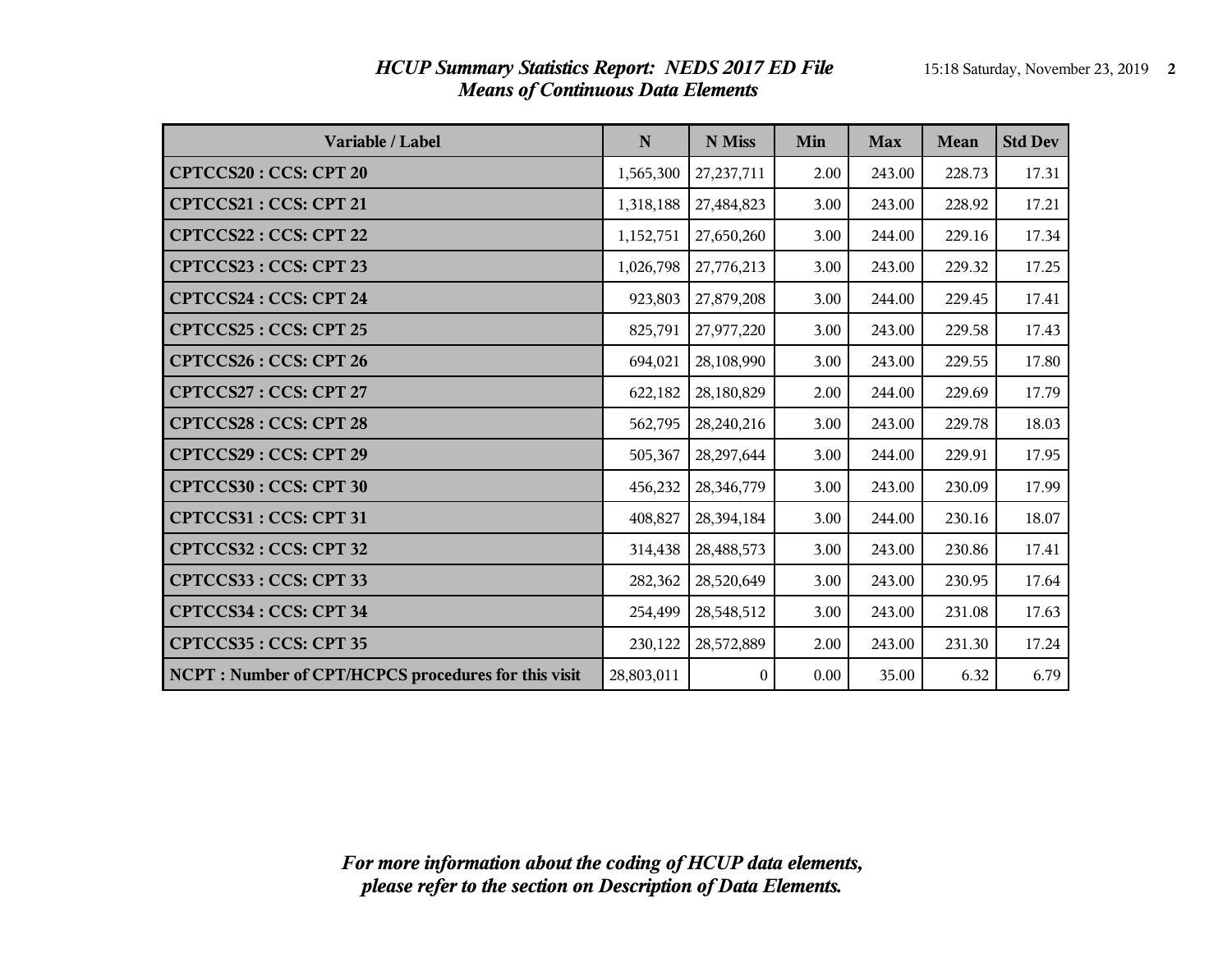| Variable / Label                                     | ${\bf N}$  | N Miss       | Min  | <b>Max</b> | <b>Mean</b> | <b>Std Dev</b> |
|------------------------------------------------------|------------|--------------|------|------------|-------------|----------------|
| <b>CPTCCS20: CCS: CPT 20</b>                         | 1,565,300  | 27, 237, 711 | 2.00 | 243.00     | 228.73      | 17.31          |
| CPTCCS21: CCS: CPT 21                                | 1,318,188  | 27,484,823   | 3.00 | 243.00     | 228.92      | 17.21          |
| CPTCCS22: CCS: CPT 22                                | 1,152,751  | 27,650,260   | 3.00 | 244.00     | 229.16      | 17.34          |
| CPTCCS23: CCS: CPT 23                                | 1,026,798  | 27,776,213   | 3.00 | 243.00     | 229.32      | 17.25          |
| <b>CPTCCS24: CCS: CPT 24</b>                         | 923,803    | 27,879,208   | 3.00 | 244.00     | 229.45      | 17.41          |
| <b>CPTCCS25: CCS: CPT 25</b>                         | 825,791    | 27,977,220   | 3.00 | 243.00     | 229.58      | 17.43          |
| <b>CPTCCS26: CCS: CPT 26</b>                         | 694,021    | 28,108,990   | 3.00 | 243.00     | 229.55      | 17.80          |
| CPTCCS27: CCS: CPT 27                                | 622,182    | 28,180,829   | 2.00 | 244.00     | 229.69      | 17.79          |
| <b>CPTCCS28: CCS: CPT 28</b>                         | 562,795    | 28,240,216   | 3.00 | 243.00     | 229.78      | 18.03          |
| CPTCCS29: CCS: CPT 29                                | 505,367    | 28,297,644   | 3.00 | 244.00     | 229.91      | 17.95          |
| CPTCCS30: CCS: CPT 30                                | 456,232    | 28,346,779   | 3.00 | 243.00     | 230.09      | 17.99          |
| CPTCCS31: CCS: CPT 31                                | 408,827    | 28,394,184   | 3.00 | 244.00     | 230.16      | 18.07          |
| CPTCCS32: CCS: CPT 32                                | 314,438    | 28,488,573   | 3.00 | 243.00     | 230.86      | 17.41          |
| CPTCCS33: CCS: CPT 33                                | 282,362    | 28,520,649   | 3.00 | 243.00     | 230.95      | 17.64          |
| CPTCCS34: CCS: CPT 34                                | 254,499    | 28,548,512   | 3.00 | 243.00     | 231.08      | 17.63          |
| CPTCCS35: CCS: CPT 35                                | 230,122    | 28,572,889   | 2.00 | 243.00     | 231.30      | 17.24          |
| NCPT : Number of CPT/HCPCS procedures for this visit | 28,803,011 | $\mathbf{0}$ | 0.00 | 35.00      | 6.32        | 6.79           |

### *HCUP Summary Statistics Report: NEDS 2017 ED File* 15:18 Saturday, November 23, 2019 **2** *Means of Continuous Data Elements*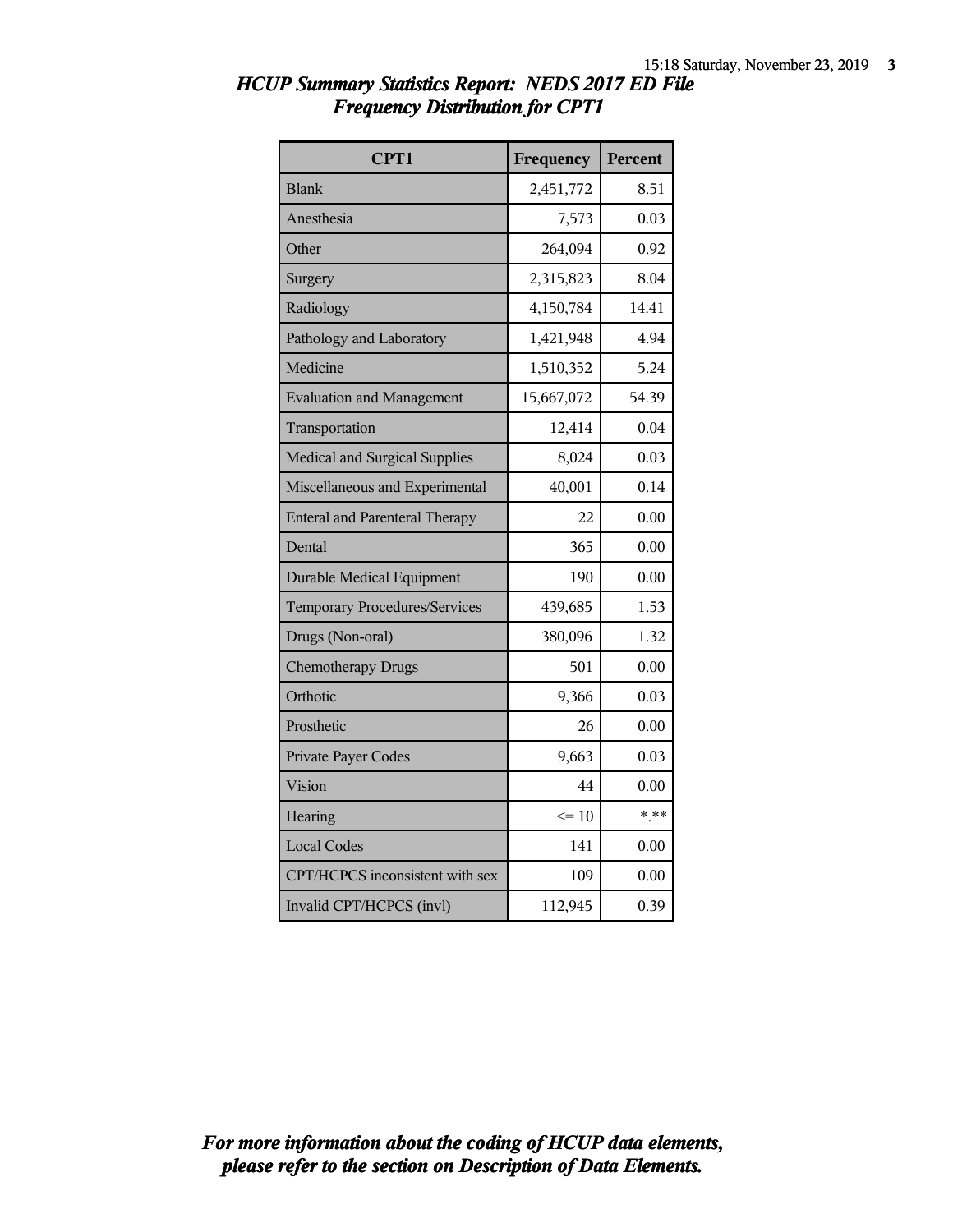| CPT1                                  | Frequency  | Percent |
|---------------------------------------|------------|---------|
| <b>Blank</b>                          | 2,451,772  | 8.51    |
| Anesthesia                            | 7,573      | 0.03    |
| Other                                 | 264,094    | 0.92    |
| Surgery                               | 2,315,823  | 8.04    |
| Radiology                             | 4,150,784  | 14.41   |
| Pathology and Laboratory              | 1,421,948  | 4.94    |
| Medicine                              | 1,510,352  | 5.24    |
| <b>Evaluation and Management</b>      | 15,667,072 | 54.39   |
| Transportation                        | 12,414     | 0.04    |
| Medical and Surgical Supplies         | 8,024      | 0.03    |
| Miscellaneous and Experimental        | 40,001     | 0.14    |
| <b>Enteral and Parenteral Therapy</b> | 22         | 0.00    |
| Dental                                | 365        | 0.00    |
| <b>Durable Medical Equipment</b>      | 190        | 0.00    |
| <b>Temporary Procedures/Services</b>  | 439,685    | 1.53    |
| Drugs (Non-oral)                      | 380,096    | 1.32    |
| <b>Chemotherapy Drugs</b>             | 501        | 0.00    |
| Orthotic                              | 9,366      | 0.03    |
| Prosthetic                            | 26         | 0.00    |
| Private Payer Codes                   | 9,663      | 0.03    |
| Vision                                | 44         | 0.00    |
| Hearing                               | $\leq 10$  | $* * *$ |
| <b>Local Codes</b>                    | 141        | 0.00    |
| CPT/HCPCS inconsistent with sex       | 109        | 0.00    |
| Invalid CPT/HCPCS (invl)              | 112,945    | 0.39    |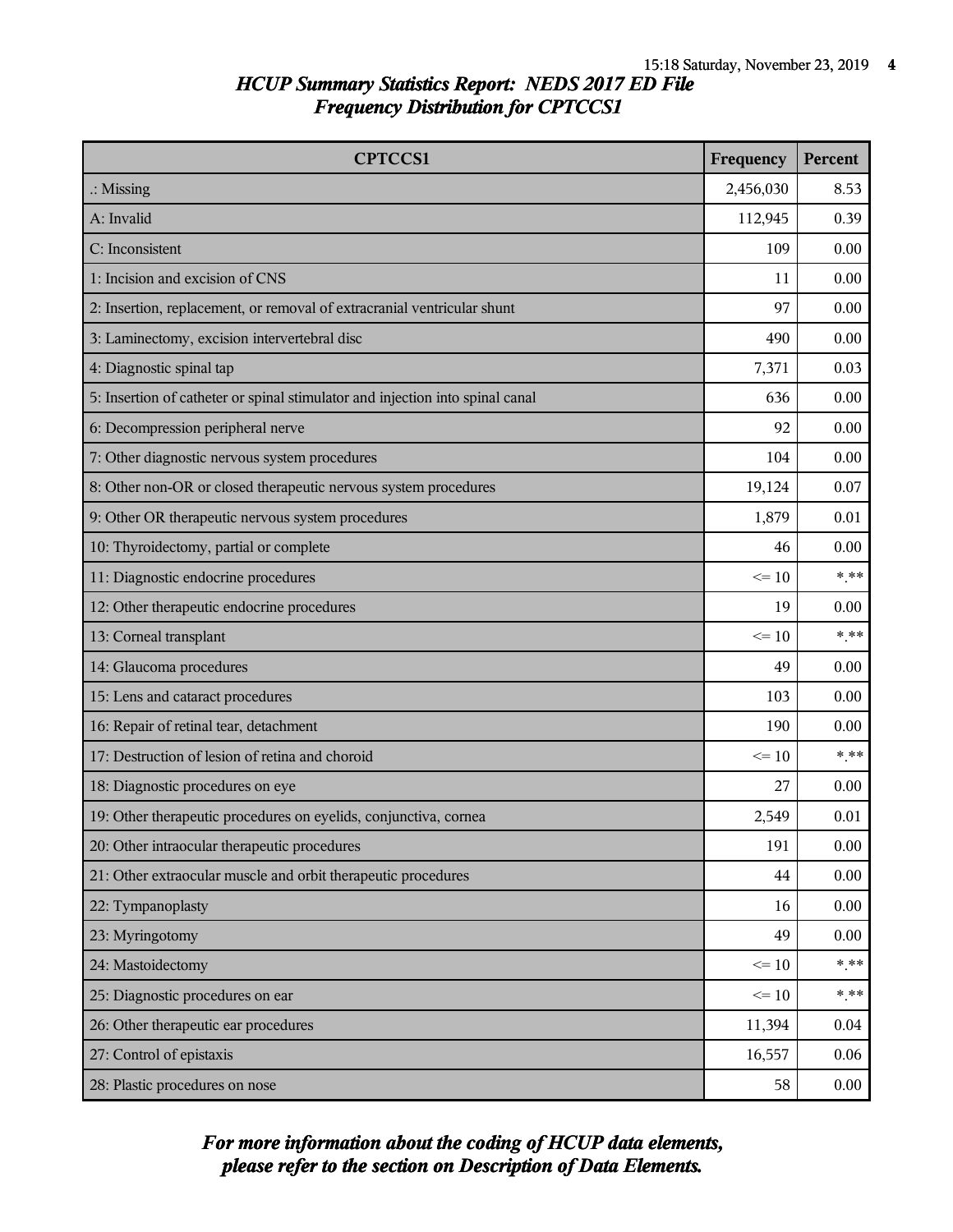| <b>CPTCCS1</b>                                                                | Frequency | Percent  |
|-------------------------------------------------------------------------------|-----------|----------|
| $\therefore$ Missing                                                          | 2,456,030 | 8.53     |
| A: Invalid                                                                    | 112,945   | 0.39     |
| C: Inconsistent                                                               | 109       | 0.00     |
| 1: Incision and excision of CNS                                               | 11        | 0.00     |
| 2: Insertion, replacement, or removal of extracranial ventricular shunt       | 97        | 0.00     |
| 3: Laminectomy, excision intervertebral disc                                  | 490       | 0.00     |
| 4: Diagnostic spinal tap                                                      | 7,371     | 0.03     |
| 5: Insertion of catheter or spinal stimulator and injection into spinal canal | 636       | 0.00     |
| 6: Decompression peripheral nerve                                             | 92        | 0.00     |
| 7: Other diagnostic nervous system procedures                                 | 104       | 0.00     |
| 8: Other non-OR or closed therapeutic nervous system procedures               | 19,124    | 0.07     |
| 9: Other OR therapeutic nervous system procedures                             | 1,879     | 0.01     |
| 10: Thyroidectomy, partial or complete                                        | 46        | 0.00     |
| 11: Diagnostic endocrine procedures                                           | $\leq 10$ | $***$    |
| 12: Other therapeutic endocrine procedures                                    | 19        | 0.00     |
| 13: Corneal transplant                                                        | $\leq 10$ | $***$    |
| 14: Glaucoma procedures                                                       | 49        | 0.00     |
| 15: Lens and cataract procedures                                              | 103       | 0.00     |
| 16: Repair of retinal tear, detachment                                        | 190       | 0.00     |
| 17: Destruction of lesion of retina and choroid                               | $\leq 10$ | $***$    |
| 18: Diagnostic procedures on eye                                              | 27        | 0.00     |
| 19: Other therapeutic procedures on eyelids, conjunctiva, cornea              | 2,549     | 0.01     |
| 20: Other intraocular therapeutic procedures                                  | 191       | 0.00     |
| 21: Other extraocular muscle and orbit therapeutic procedures                 | 44        | $0.00\,$ |
| 22: Tympanoplasty                                                             | 16        | 0.00     |
| 23: Myringotomy                                                               | 49        | 0.00     |
| 24: Mastoidectomy                                                             | $\leq 10$ | $***$    |
| 25: Diagnostic procedures on ear                                              | $\leq 10$ | $* * *$  |
| 26: Other therapeutic ear procedures                                          | 11,394    | 0.04     |
| 27: Control of epistaxis                                                      | 16,557    | 0.06     |
| 28: Plastic procedures on nose                                                | 58        | 0.00     |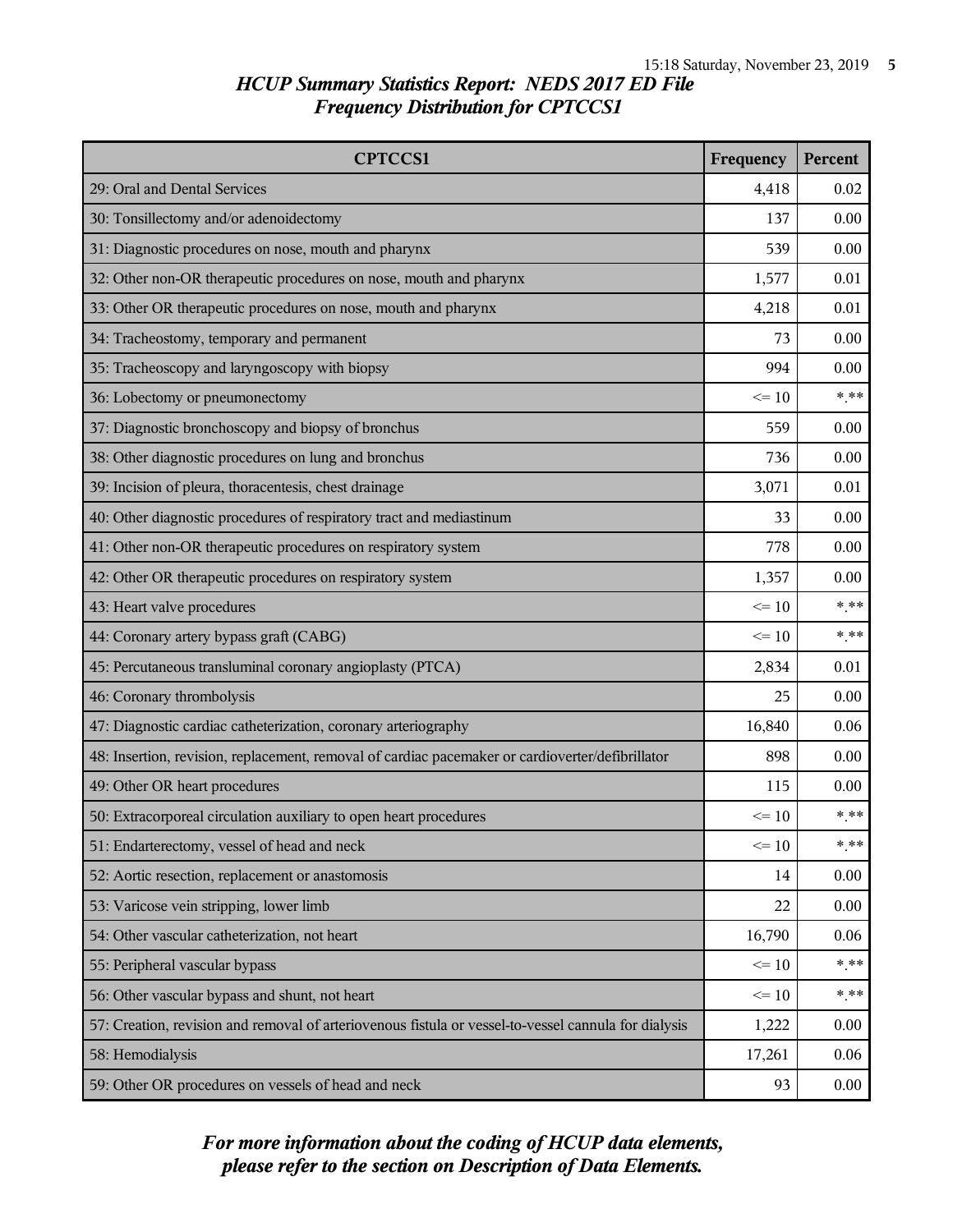| <b>CPTCCS1</b>                                                                                       | Frequency | Percent |
|------------------------------------------------------------------------------------------------------|-----------|---------|
| 29: Oral and Dental Services                                                                         | 4,418     | 0.02    |
| 30: Tonsillectomy and/or adenoidectomy                                                               | 137       | 0.00    |
| 31: Diagnostic procedures on nose, mouth and pharynx                                                 | 539       | 0.00    |
| 32: Other non-OR therapeutic procedures on nose, mouth and pharynx                                   | 1,577     | 0.01    |
| 33: Other OR therapeutic procedures on nose, mouth and pharynx                                       | 4,218     | 0.01    |
| 34: Tracheostomy, temporary and permanent                                                            | 73        | 0.00    |
| 35: Tracheoscopy and laryngoscopy with biopsy                                                        | 994       | 0.00    |
| 36: Lobectomy or pneumonectomy                                                                       | $\leq 10$ | $***$   |
| 37: Diagnostic bronchoscopy and biopsy of bronchus                                                   | 559       | 0.00    |
| 38: Other diagnostic procedures on lung and bronchus                                                 | 736       | 0.00    |
| 39: Incision of pleura, thoracentesis, chest drainage                                                | 3,071     | 0.01    |
| 40: Other diagnostic procedures of respiratory tract and mediastinum                                 | 33        | 0.00    |
| 41: Other non-OR therapeutic procedures on respiratory system                                        | 778       | 0.00    |
| 42: Other OR therapeutic procedures on respiratory system                                            | 1,357     | 0.00    |
| 43: Heart valve procedures                                                                           | $\leq 10$ | $***$   |
| 44: Coronary artery bypass graft (CABG)                                                              | $\leq 10$ | $***$   |
| 45: Percutaneous transluminal coronary angioplasty (PTCA)                                            | 2,834     | 0.01    |
| 46: Coronary thrombolysis                                                                            | 25        | 0.00    |
| 47: Diagnostic cardiac catheterization, coronary arteriography                                       | 16,840    | 0.06    |
| 48: Insertion, revision, replacement, removal of cardiac pacemaker or cardioverter/defibrillator     | 898       | 0.00    |
| 49: Other OR heart procedures                                                                        | 115       | 0.00    |
| 50: Extracorporeal circulation auxiliary to open heart procedures                                    | $\leq$ 10 | $***$   |
| 51: Endarterectomy, vessel of head and neck                                                          | $\leq 10$ | $***$   |
| 52: Aortic resection, replacement or anastomosis                                                     | 14        | 0.00    |
| 53: Varicose vein stripping, lower limb                                                              | 22        | 0.00    |
| 54: Other vascular catheterization, not heart                                                        | 16,790    | 0.06    |
| 55: Peripheral vascular bypass                                                                       | $\leq 10$ | $***$   |
| 56: Other vascular bypass and shunt, not heart                                                       | $\leq 10$ | $***$   |
| 57: Creation, revision and removal of arteriovenous fistula or vessel-to-vessel cannula for dialysis | 1,222     | 0.00    |
| 58: Hemodialysis                                                                                     | 17,261    | 0.06    |
| 59: Other OR procedures on vessels of head and neck                                                  | 93        | 0.00    |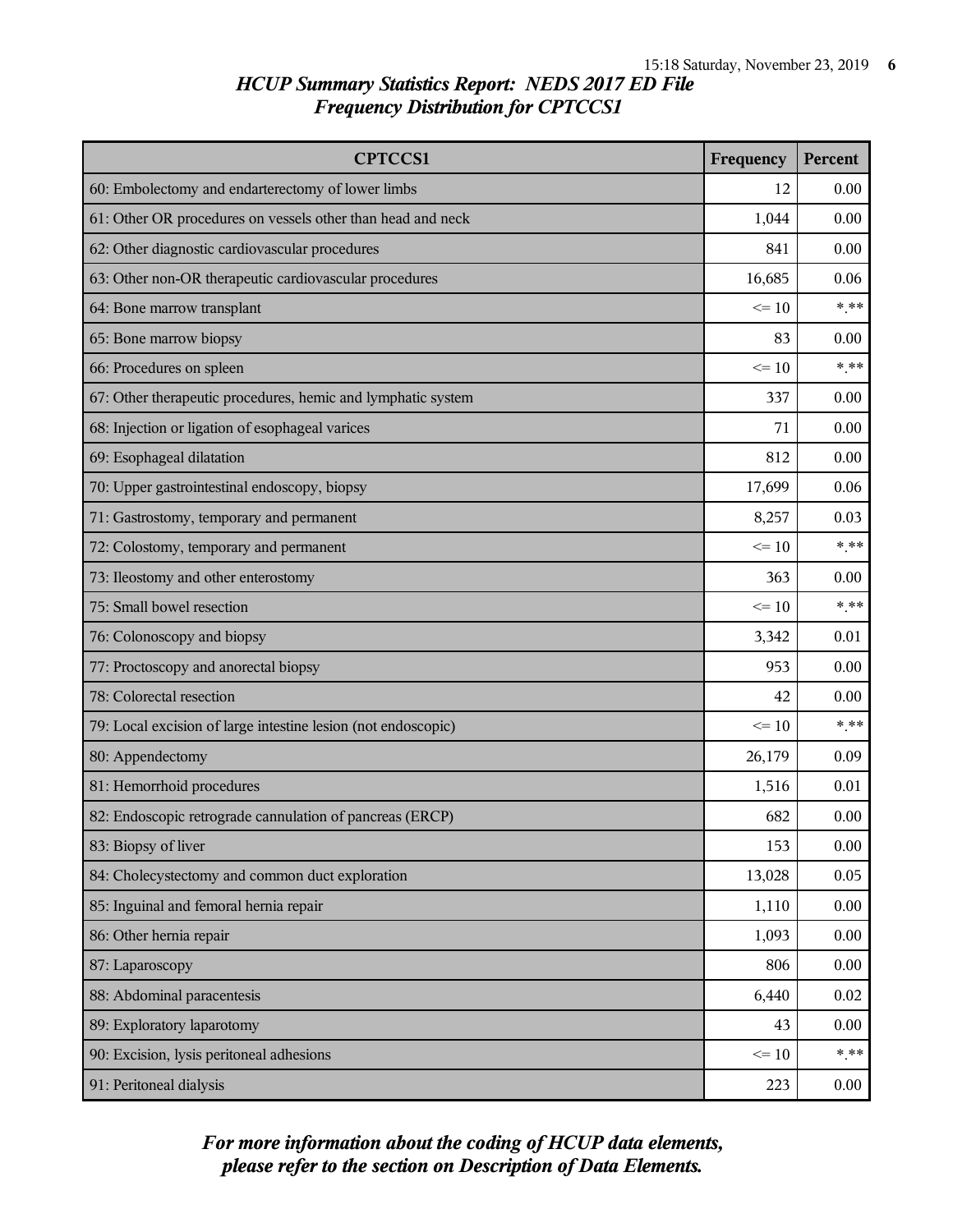| <b>CPTCCS1</b>                                                | Frequency | Percent |
|---------------------------------------------------------------|-----------|---------|
| 60: Embolectomy and endarterectomy of lower limbs             | 12        | 0.00    |
| 61: Other OR procedures on vessels other than head and neck   | 1,044     | 0.00    |
| 62: Other diagnostic cardiovascular procedures                | 841       | 0.00    |
| 63: Other non-OR therapeutic cardiovascular procedures        | 16,685    | 0.06    |
| 64: Bone marrow transplant                                    | $\leq$ 10 | $***$   |
| 65: Bone marrow biopsy                                        | 83        | 0.00    |
| 66: Procedures on spleen                                      | $\leq 10$ | $***$   |
| 67: Other therapeutic procedures, hemic and lymphatic system  | 337       | 0.00    |
| 68: Injection or ligation of esophageal varices               | 71        | 0.00    |
| 69: Esophageal dilatation                                     | 812       | 0.00    |
| 70: Upper gastrointestinal endoscopy, biopsy                  | 17,699    | 0.06    |
| 71: Gastrostomy, temporary and permanent                      | 8,257     | 0.03    |
| 72: Colostomy, temporary and permanent                        | $\leq 10$ | $***$   |
| 73: Ileostomy and other enterostomy                           | 363       | 0.00    |
| 75: Small bowel resection                                     |           | $***$   |
| 76: Colonoscopy and biopsy                                    |           | 0.01    |
| 77: Proctoscopy and anorectal biopsy                          | 953       | 0.00    |
| 78: Colorectal resection                                      | 42        | 0.00    |
| 79: Local excision of large intestine lesion (not endoscopic) |           | $***$   |
| 80: Appendectomy                                              | 26,179    | 0.09    |
| 81: Hemorrhoid procedures                                     | 1,516     | 0.01    |
| 82: Endoscopic retrograde cannulation of pancreas (ERCP)      | 682       | 0.00    |
| 83: Biopsy of liver                                           | 153       | 0.00    |
| 84: Cholecystectomy and common duct exploration               | 13,028    | 0.05    |
| 85: Inguinal and femoral hernia repair                        | 1,110     | 0.00    |
| 86: Other hernia repair                                       |           | 0.00    |
| 87: Laparoscopy                                               | 806       | 0.00    |
| 88: Abdominal paracentesis                                    | 6,440     | 0.02    |
| 89: Exploratory laparotomy                                    |           | 0.00    |
| 90: Excision, lysis peritoneal adhesions                      | $\leq 10$ | $***$   |
| 91: Peritoneal dialysis                                       |           | 0.00    |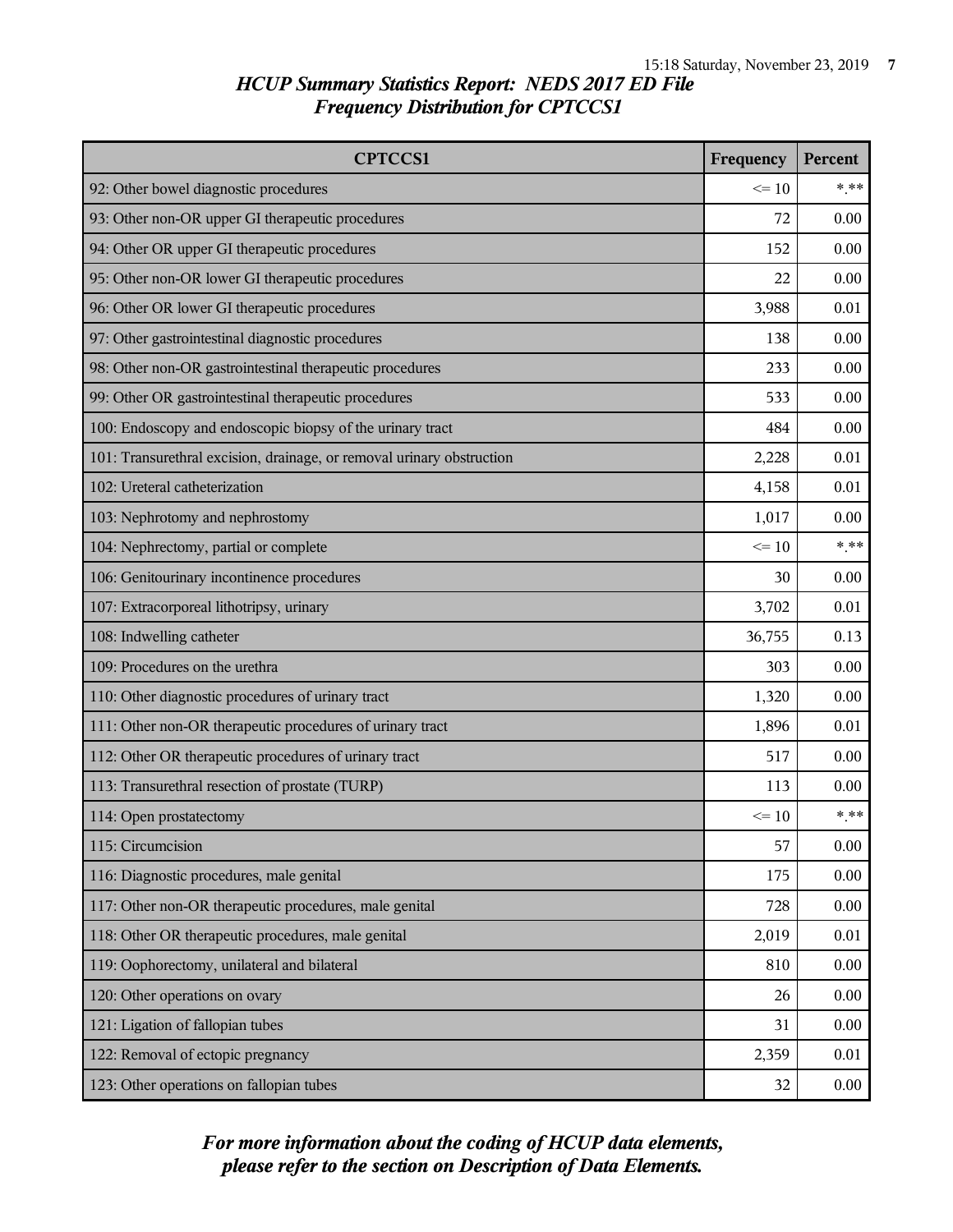| <b>CPTCCS1</b>                                                        | Frequency | Percent |
|-----------------------------------------------------------------------|-----------|---------|
| 92: Other bowel diagnostic procedures                                 | $\leq 10$ | $*$ **  |
| 93: Other non-OR upper GI therapeutic procedures                      | 72        | 0.00    |
| 94: Other OR upper GI therapeutic procedures                          | 152       | 0.00    |
| 95: Other non-OR lower GI therapeutic procedures                      | 22        | 0.00    |
| 96: Other OR lower GI therapeutic procedures                          | 3,988     | 0.01    |
| 97: Other gastrointestinal diagnostic procedures                      | 138       | 0.00    |
| 98: Other non-OR gastrointestinal therapeutic procedures              | 233       | 0.00    |
| 99: Other OR gastrointestinal therapeutic procedures                  | 533       | 0.00    |
| 100: Endoscopy and endoscopic biopsy of the urinary tract             | 484       | 0.00    |
| 101: Transurethral excision, drainage, or removal urinary obstruction | 2,228     | 0.01    |
| 102: Ureteral catheterization                                         | 4,158     | 0.01    |
| 103: Nephrotomy and nephrostomy                                       | 1,017     | 0.00    |
| 104: Nephrectomy, partial or complete                                 | $\leq 10$ | $*$ **  |
| 106: Genitourinary incontinence procedures                            |           | 0.00    |
| 107: Extracorporeal lithotripsy, urinary                              |           | 0.01    |
| 108: Indwelling catheter                                              |           | 0.13    |
| 109: Procedures on the urethra                                        | 303       | 0.00    |
| 110: Other diagnostic procedures of urinary tract                     | 1,320     | 0.00    |
| 111: Other non-OR therapeutic procedures of urinary tract             | 1,896     | 0.01    |
| 112: Other OR therapeutic procedures of urinary tract                 | 517       | 0.00    |
| 113: Transurethral resection of prostate (TURP)                       | 113       | 0.00    |
| 114: Open prostatectomy                                               | $\leq 10$ | $*$ **  |
| 115: Circumcision                                                     | 57        | 0.00    |
| 116: Diagnostic procedures, male genital                              | 175       | 0.00    |
| 117: Other non-OR therapeutic procedures, male genital                | 728       | 0.00    |
| 118: Other OR therapeutic procedures, male genital                    | 2,019     | 0.01    |
| 119: Oophorectomy, unilateral and bilateral                           |           | 0.00    |
| 120: Other operations on ovary                                        |           | 0.00    |
| 121: Ligation of fallopian tubes                                      | 31        | 0.00    |
| 122: Removal of ectopic pregnancy                                     |           | 0.01    |
| 123: Other operations on fallopian tubes                              |           | 0.00    |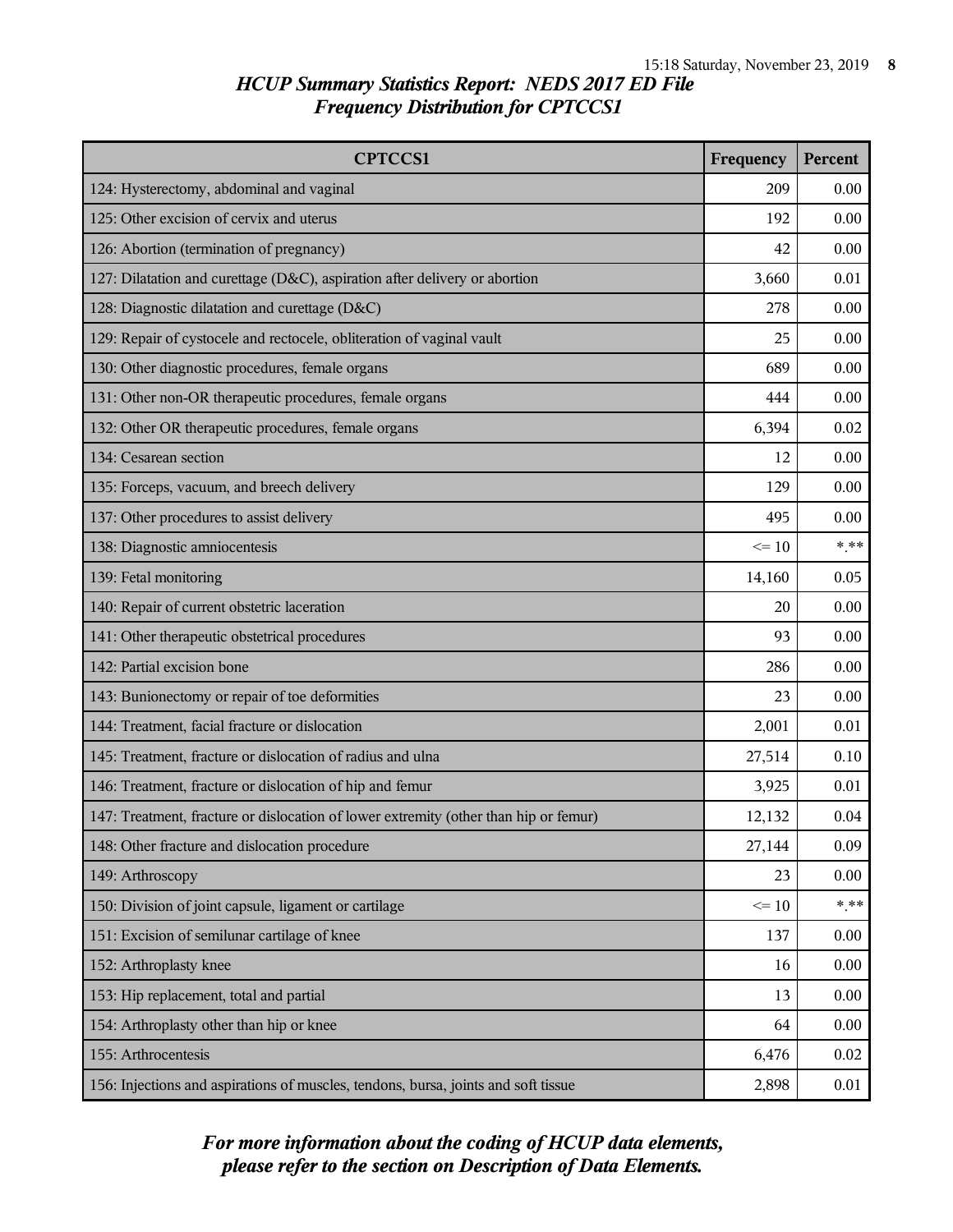| <b>CPTCCS1</b>                                                                       | Frequency | Percent |
|--------------------------------------------------------------------------------------|-----------|---------|
| 124: Hysterectomy, abdominal and vaginal                                             | 209       | 0.00    |
| 125: Other excision of cervix and uterus                                             | 192       | 0.00    |
| 126: Abortion (termination of pregnancy)                                             | 42        | 0.00    |
| 127: Dilatation and curettage (D&C), aspiration after delivery or abortion           | 3,660     | 0.01    |
| 128: Diagnostic dilatation and curettage (D&C)                                       | 278       | 0.00    |
| 129: Repair of cystocele and rectocele, obliteration of vaginal vault                | 25        | 0.00    |
| 130: Other diagnostic procedures, female organs                                      | 689       | 0.00    |
| 131: Other non-OR therapeutic procedures, female organs                              | 444       | 0.00    |
| 132: Other OR therapeutic procedures, female organs                                  | 6,394     | 0.02    |
| 134: Cesarean section                                                                | 12        | 0.00    |
| 135: Forceps, vacuum, and breech delivery                                            | 129       | 0.00    |
| 137: Other procedures to assist delivery                                             | 495       | 0.00    |
| 138: Diagnostic amniocentesis                                                        | $\leq 10$ | $***$   |
| 139: Fetal monitoring                                                                | 14,160    | 0.05    |
| 140: Repair of current obstetric laceration                                          | 20        | 0.00    |
| 141: Other therapeutic obstetrical procedures                                        | 93        | 0.00    |
| 142: Partial excision bone                                                           | 286       | 0.00    |
| 143: Bunionectomy or repair of toe deformities                                       | 23        | 0.00    |
| 144: Treatment, facial fracture or dislocation                                       | 2,001     | 0.01    |
| 145: Treatment, fracture or dislocation of radius and ulna                           | 27,514    | 0.10    |
| 146: Treatment, fracture or dislocation of hip and femur                             | 3,925     | 0.01    |
| 147: Treatment, fracture or dislocation of lower extremity (other than hip or femur) | 12,132    | 0.04    |
| 148: Other fracture and dislocation procedure                                        | 27,144    | 0.09    |
| 149: Arthroscopy                                                                     | 23        | 0.00    |
| 150: Division of joint capsule, ligament or cartilage                                | $\leq 10$ | $***$   |
| 151: Excision of semilunar cartilage of knee                                         | 137       | 0.00    |
| 152: Arthroplasty knee                                                               | 16        | 0.00    |
| 153: Hip replacement, total and partial                                              | 13        | 0.00    |
| 154: Arthroplasty other than hip or knee                                             | 64        | 0.00    |
| 155: Arthrocentesis                                                                  | 6,476     | 0.02    |
| 156: Injections and aspirations of muscles, tendons, bursa, joints and soft tissue   | 2,898     | 0.01    |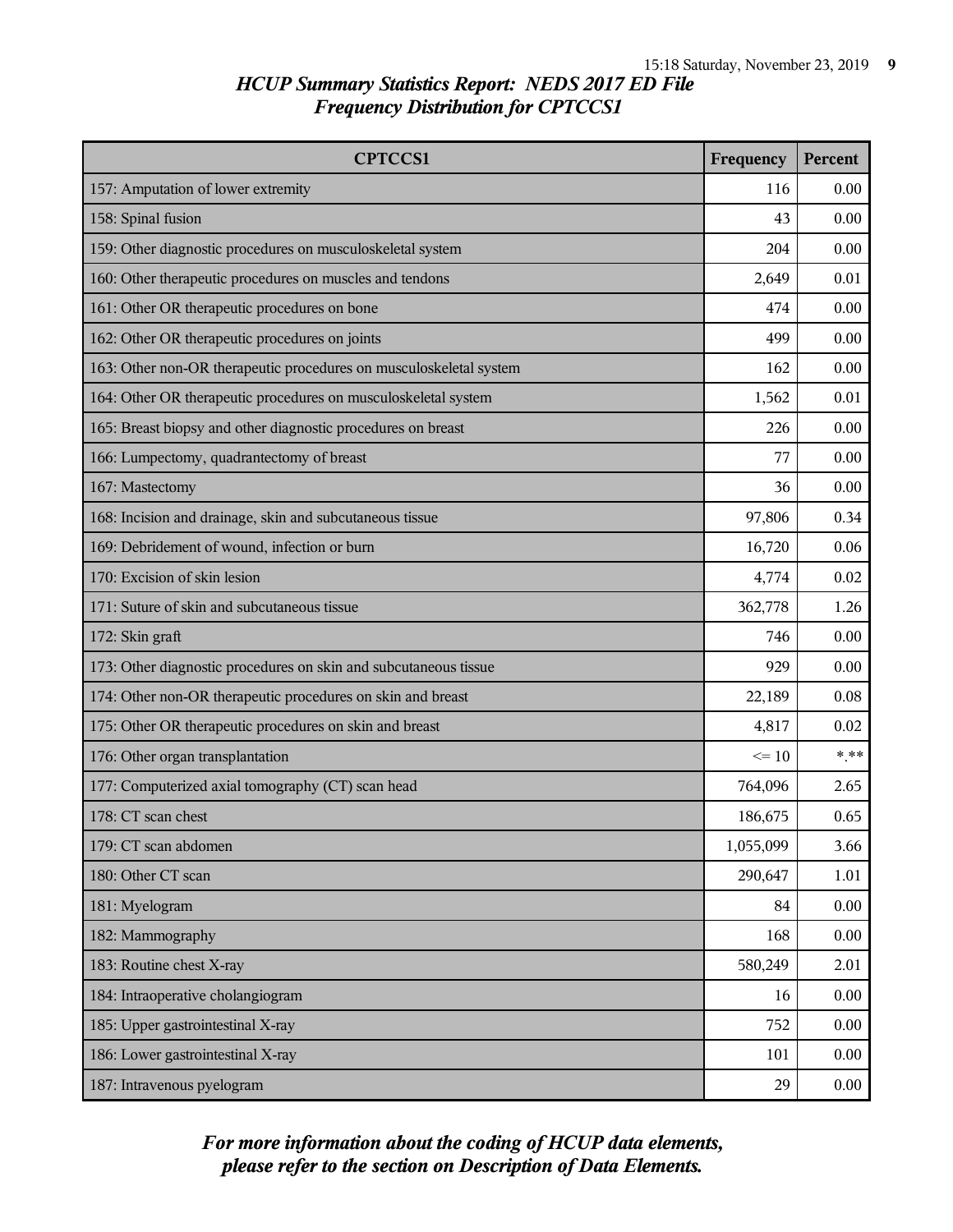| <b>CPTCCS1</b>                                                     | Frequency | Percent |
|--------------------------------------------------------------------|-----------|---------|
| 157: Amputation of lower extremity                                 | 116       | 0.00    |
| 158: Spinal fusion                                                 | 43        | 0.00    |
| 159: Other diagnostic procedures on musculoskeletal system         | 204       | 0.00    |
| 160: Other therapeutic procedures on muscles and tendons           | 2,649     | 0.01    |
| 161: Other OR therapeutic procedures on bone                       | 474       | 0.00    |
| 162: Other OR therapeutic procedures on joints                     | 499       | 0.00    |
| 163: Other non-OR therapeutic procedures on musculoskeletal system | 162       | 0.00    |
| 164: Other OR therapeutic procedures on musculoskeletal system     | 1,562     | 0.01    |
| 165: Breast biopsy and other diagnostic procedures on breast       | 226       | 0.00    |
| 166: Lumpectomy, quadrantectomy of breast                          | 77        | 0.00    |
| 167: Mastectomy                                                    | 36        | 0.00    |
| 168: Incision and drainage, skin and subcutaneous tissue           | 97,806    | 0.34    |
| 169: Debridement of wound, infection or burn                       | 16,720    | 0.06    |
| 170: Excision of skin lesion                                       | 4,774     | 0.02    |
| 171: Suture of skin and subcutaneous tissue                        |           | 1.26    |
| 172: Skin graft                                                    |           | 0.00    |
| 173: Other diagnostic procedures on skin and subcutaneous tissue   | 929       | 0.00    |
| 174: Other non-OR therapeutic procedures on skin and breast        | 22,189    | 0.08    |
| 175: Other OR therapeutic procedures on skin and breast            | 4,817     | 0.02    |
| 176: Other organ transplantation                                   | $\leq$ 10 | $*$ **  |
| 177: Computerized axial tomography (CT) scan head                  | 764,096   | 2.65    |
| 178: CT scan chest                                                 | 186,675   | 0.65    |
| 179: CT scan abdomen                                               | 1,055,099 | 3.66    |
| 180: Other CT scan                                                 | 290,647   | 1.01    |
| 181: Myelogram                                                     | 84        | 0.00    |
| 182: Mammography                                                   | 168       | 0.00    |
| 183: Routine chest X-ray                                           | 580,249   | 2.01    |
| 184: Intraoperative cholangiogram                                  |           | 0.00    |
| 185: Upper gastrointestinal X-ray                                  | 752       | 0.00    |
| 186: Lower gastrointestinal X-ray                                  | 101       | 0.00    |
| 187: Intravenous pyelogram                                         | 29        | 0.00    |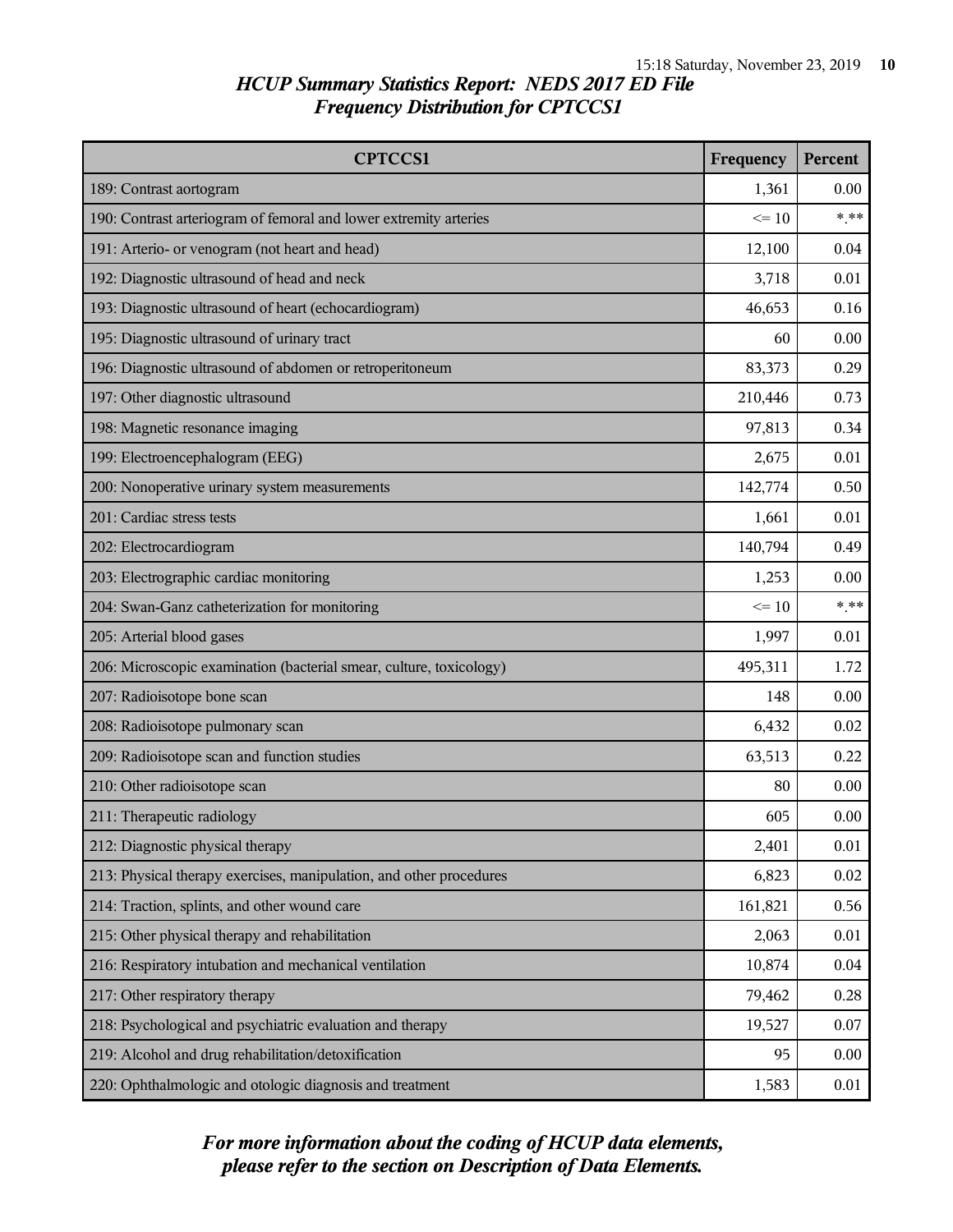| <b>CPTCCS1</b>                                                      | Frequency | Percent |
|---------------------------------------------------------------------|-----------|---------|
| 189: Contrast aortogram                                             | 1,361     | 0.00    |
| 190: Contrast arteriogram of femoral and lower extremity arteries   | $\leq 10$ | $***$   |
| 191: Arterio- or venogram (not heart and head)                      | 12,100    | 0.04    |
| 192: Diagnostic ultrasound of head and neck                         | 3,718     | 0.01    |
| 193: Diagnostic ultrasound of heart (echocardiogram)                | 46,653    | 0.16    |
| 195: Diagnostic ultrasound of urinary tract                         | 60        | 0.00    |
| 196: Diagnostic ultrasound of abdomen or retroperitoneum            | 83,373    | 0.29    |
| 197: Other diagnostic ultrasound                                    | 210,446   | 0.73    |
| 198: Magnetic resonance imaging                                     | 97,813    | 0.34    |
| 199: Electroencephalogram (EEG)                                     | 2,675     | 0.01    |
| 200: Nonoperative urinary system measurements                       | 142,774   | 0.50    |
| 201: Cardiac stress tests                                           | 1,661     | 0.01    |
| 202: Electrocardiogram                                              | 140,794   | 0.49    |
| 203: Electrographic cardiac monitoring                              | 1,253     | 0.00    |
| 204: Swan-Ganz catheterization for monitoring                       | $\leq$ 10 | $***$   |
| 205: Arterial blood gases                                           | 1,997     | 0.01    |
| 206: Microscopic examination (bacterial smear, culture, toxicology) | 495,311   | 1.72    |
| 207: Radioisotope bone scan                                         | 148       | 0.00    |
| 208: Radioisotope pulmonary scan                                    | 6,432     | 0.02    |
| 209: Radioisotope scan and function studies                         | 63,513    | 0.22    |
| 210: Other radioisotope scan                                        | 80        | 0.00    |
| 211: Therapeutic radiology                                          | 605       | 0.00    |
| 212: Diagnostic physical therapy                                    | 2,401     | 0.01    |
| 213: Physical therapy exercises, manipulation, and other procedures | 6,823     | 0.02    |
| 214: Traction, splints, and other wound care                        | 161,821   | 0.56    |
| 215: Other physical therapy and rehabilitation                      | 2,063     | 0.01    |
| 216: Respiratory intubation and mechanical ventilation              | 10,874    | 0.04    |
| 217: Other respiratory therapy                                      | 79,462    | 0.28    |
| 218: Psychological and psychiatric evaluation and therapy           | 19,527    | 0.07    |
| 219: Alcohol and drug rehabilitation/detoxification                 | 95        | 0.00    |
| 220: Ophthalmologic and otologic diagnosis and treatment            |           | 0.01    |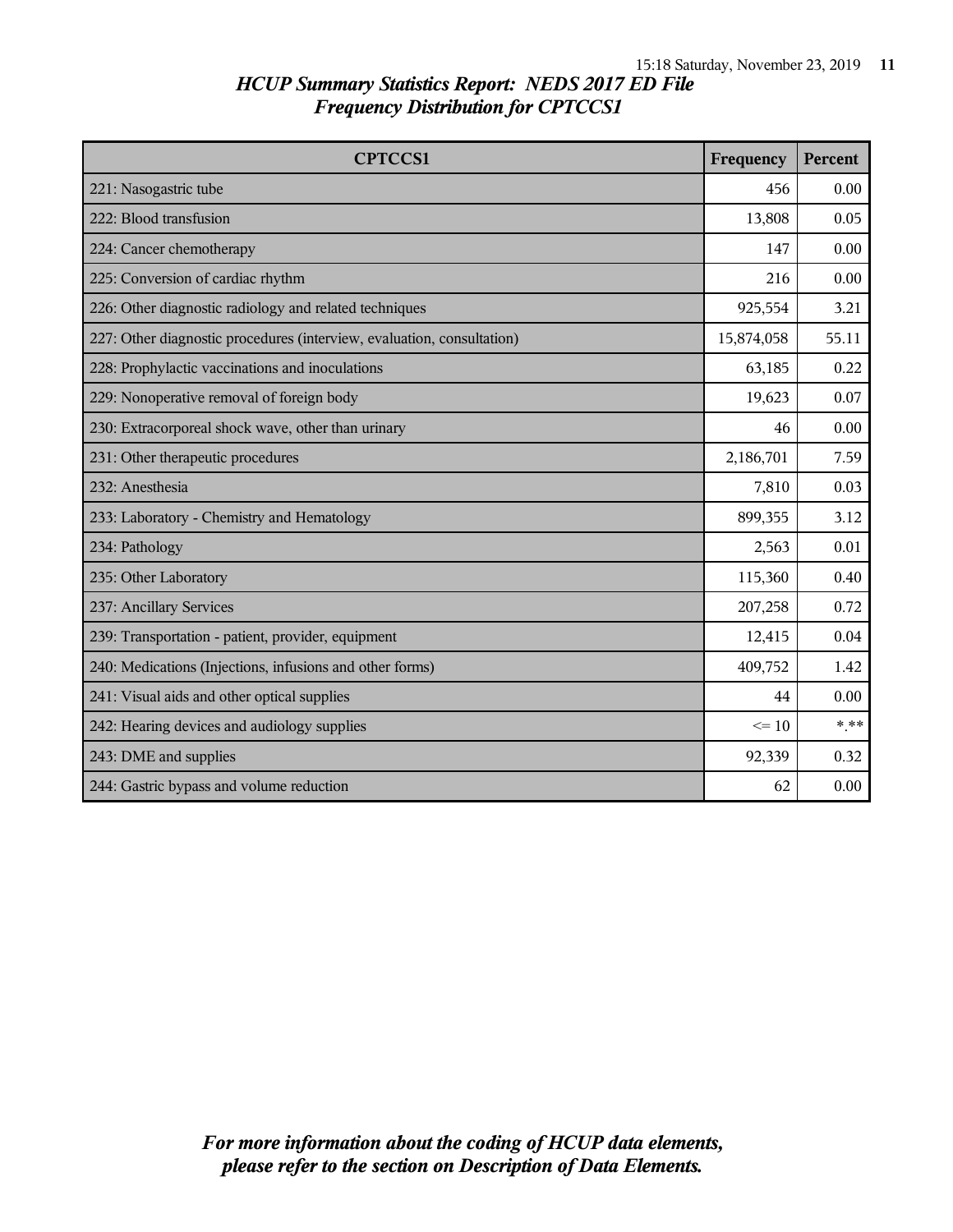| <b>CPTCCS1</b>                                                         | Frequency  | Percent |
|------------------------------------------------------------------------|------------|---------|
| 221: Nasogastric tube                                                  | 456        | 0.00    |
| 222: Blood transfusion                                                 | 13,808     | 0.05    |
| 224: Cancer chemotherapy                                               | 147        | 0.00    |
| 225: Conversion of cardiac rhythm                                      | 216        | 0.00    |
| 226: Other diagnostic radiology and related techniques                 | 925,554    | 3.21    |
| 227: Other diagnostic procedures (interview, evaluation, consultation) | 15,874,058 | 55.11   |
| 228: Prophylactic vaccinations and inoculations                        | 63,185     | 0.22    |
| 229: Nonoperative removal of foreign body                              | 19,623     | 0.07    |
| 230: Extracorporeal shock wave, other than urinary                     | 46         | 0.00    |
| 231: Other therapeutic procedures                                      |            | 7.59    |
| 232: Anesthesia                                                        |            | 0.03    |
| 233: Laboratory - Chemistry and Hematology                             | 899,355    | 3.12    |
| 234: Pathology                                                         | 2,563      | 0.01    |
| 235: Other Laboratory                                                  | 115,360    | 0.40    |
| 237: Ancillary Services                                                | 207,258    | 0.72    |
| 239: Transportation - patient, provider, equipment                     | 12,415     | 0.04    |
| 240: Medications (Injections, infusions and other forms)               | 409,752    | 1.42    |
| 241: Visual aids and other optical supplies                            |            | 0.00    |
| 242: Hearing devices and audiology supplies                            |            | $***$   |
| 243: DME and supplies                                                  |            | 0.32    |
| 244: Gastric bypass and volume reduction                               | 62         | 0.00    |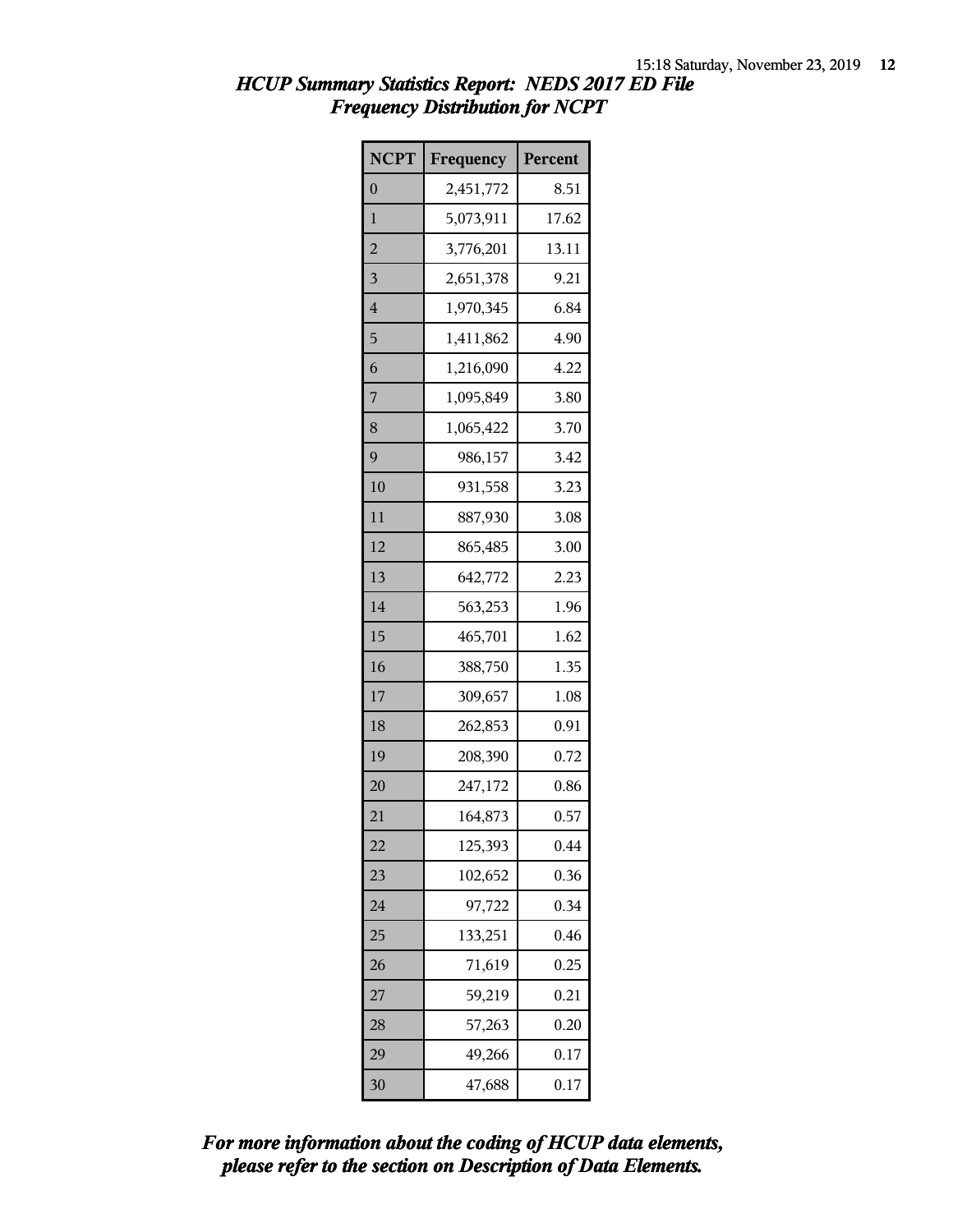| <b>NCPT</b>             | Frequency | Percent |
|-------------------------|-----------|---------|
| $\overline{0}$          | 2,451,772 | 8.51    |
| 1                       | 5,073,911 | 17.62   |
| $\overline{a}$          | 3,776,201 | 13.11   |
| $\overline{\mathbf{3}}$ | 2,651,378 | 9.21    |
| $\overline{4}$          | 1,970,345 | 6.84    |
| 5                       | 1,411,862 | 4.90    |
| 6                       | 1,216,090 | 4.22    |
| 7                       | 1,095,849 | 3.80    |
| 8                       | 1,065,422 | 3.70    |
| 9                       | 986,157   | 3.42    |
| 10                      | 931,558   | 3.23    |
| 11                      | 887,930   | 3.08    |
| 12                      | 865,485   | 3.00    |
| 13                      | 642,772   | 2.23    |
| 14                      | 563,253   | 1.96    |
| 15                      | 465,701   | 1.62    |
| 16                      | 388,750   | 1.35    |
| 17                      | 309,657   | 1.08    |
| 18                      | 262,853   | 0.91    |
| 19                      | 208,390   | 0.72    |
| 20                      | 247,172   | 0.86    |
| 21                      | 164,873   | 0.57    |
| 22                      | 125,393   | 0.44    |
| 23                      | 102,652   | 0.36    |
| 24                      | 97,722    | 0.34    |
| 25                      | 133,251   | 0.46    |
| 26                      | 71,619    | 0.25    |
| 27                      | 59,219    | 0.21    |
| 28                      | 57,263    | 0.20    |
| 29                      | 49,266    | 0.17    |
| 30                      | 47,688    | 0.17    |